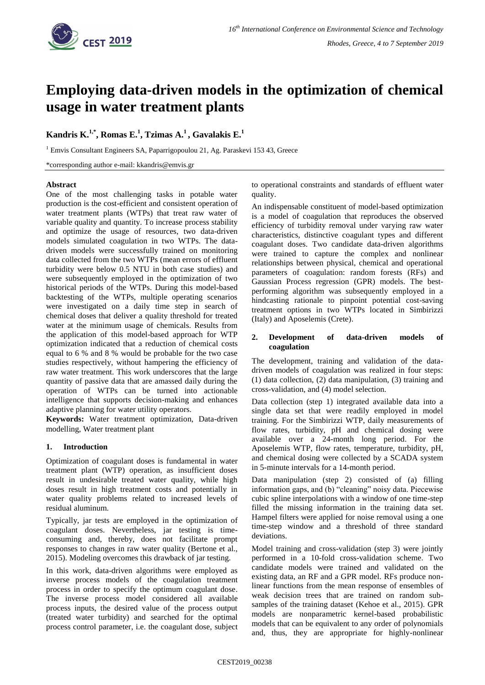

# **Employing data-driven models in the optimization of chemical usage in water treatment plants**

# **Kandris K. 1,\* , Romas E. 1 , Tzimas A. 1 , Gavalakis E. 1**

<sup>1</sup> Emvis Consultant Engineers SA, Paparrigopoulou 21, Ag. Paraskevi 153 43, Greece

\*corresponding author e-mail: kkandris@emvis.gr

#### **Abstract**

One of the most challenging tasks in potable water production is the cost-efficient and consistent operation of water treatment plants (WTPs) that treat raw water of variable quality and quantity. To increase process stability and optimize the usage of resources, two data-driven models simulated coagulation in two WTPs. The datadriven models were successfully trained on monitoring data collected from the two WTPs (mean errors of effluent turbidity were below 0.5 NTU in both case studies) and were subsequently employed in the optimization of two historical periods of the WTPs. During this model-based backtesting of the WTPs, multiple operating scenarios were investigated on a daily time step in search of chemical doses that deliver a quality threshold for treated water at the minimum usage of chemicals. Results from the application of this model-based approach for WTP optimization indicated that a reduction of chemical costs equal to 6 % and 8 % would be probable for the two case studies respectively, without hampering the efficiency of raw water treatment. This work underscores that the large quantity of passive data that are amassed daily during the operation of WTPs can be turned into actionable intelligence that supports decision-making and enhances adaptive planning for water utility operators.

**Keywords:** Water treatment optimization, Data-driven modelling, Water treatment plant

## **1. Introduction**

Optimization of coagulant doses is fundamental in water treatment plant (WTP) operation, as insufficient doses result in undesirable treated water quality, while high doses result in high treatment costs and potentially in water quality problems related to increased levels of residual aluminum.

Typically, jar tests are employed in the optimization of coagulant doses. Nevertheless, jar testing is timeconsuming and, thereby, does not facilitate prompt responses to changes in raw water quality (Bertone et al., 2015). Modeling overcomes this drawback of jar testing.

In this work, data-driven algorithms were employed as inverse process models of the coagulation treatment process in order to specify the optimum coagulant dose. The inverse process model considered all available process inputs, the desired value of the process output (treated water turbidity) and searched for the optimal process control parameter, i.e. the coagulant dose, subject to operational constraints and standards of effluent water quality.

An indispensable constituent of model-based optimization is a model of coagulation that reproduces the observed efficiency of turbidity removal under varying raw water characteristics, distinctive coagulant types and different coagulant doses. Two candidate data-driven algorithms were trained to capture the complex and nonlinear relationships between physical, chemical and operational parameters of coagulation: random forests (RFs) and Gaussian Process regression (GPR) models. The bestperforming algorithm was subsequently employed in a hindcasting rationale to pinpoint potential cost-saving treatment options in two WTPs located in Simbirizzi (Italy) and Aposelemis (Crete).

### **2. Development of data-driven models of coagulation**

The development, training and validation of the datadriven models of coagulation was realized in four steps: (1) data collection, (2) data manipulation, (3) training and cross-validation, and (4) model selection.

Data collection (step 1) integrated available data into a single data set that were readily employed in model training. For the Simbirizzi WTP, daily measurements of flow rates, turbidity, pH and chemical dosing were available over a 24-month long period. For the Aposelemis WTP, flow rates, temperature, turbidity, pH, and chemical dosing were collected by a SCADA system in 5-minute intervals for a 14-month period.

Data manipulation (step 2) consisted of (a) filling information gaps, and (b) "cleaning" noisy data. Piecewise cubic spline interpolations with a window of one time-step filled the missing information in the training data set. Hampel filters were applied for noise removal using a one time-step window and a threshold of three standard deviations.

Model training and cross-validation (step 3) were jointly performed in a 10-fold cross-validation scheme. Two candidate models were trained and validated on the existing data, an RF and a GPR model. RFs produce nonlinear functions from the mean response of ensembles of weak decision trees that are trained on random subsamples of the training dataset (Kehoe et al., 2015). GPR models are nonparametric kernel-based probabilistic models that can be equivalent to any order of polynomials and, thus, they are appropriate for highly-nonlinear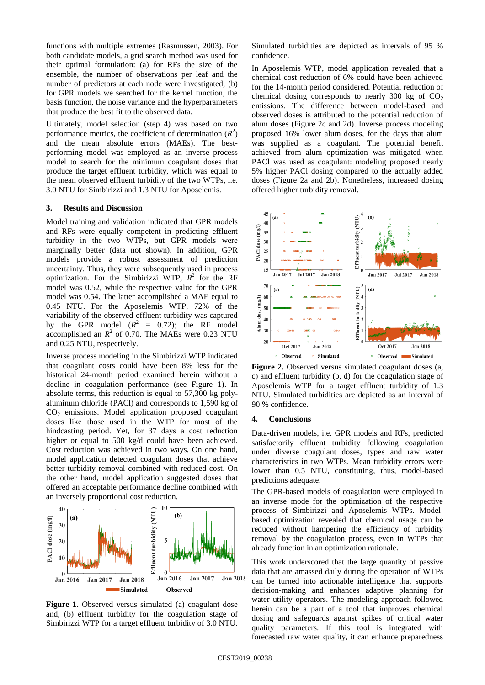functions with multiple extremes (Rasmussen, 2003). For both candidate models, a grid search method was used for their optimal formulation: (a) for RFs the size of the ensemble, the number of observations per leaf and the number of predictors at each node were investigated, (b) for GPR models we searched for the kernel function, the basis function, the noise variance and the hyperparameters that produce the best fit to the observed data.

Ultimately, model selection (step 4) was based on two performance metrics, the coefficient of determination  $(R^2)$ and the mean absolute errors (MAEs). The bestperforming model was employed as an inverse process model to search for the minimum coagulant doses that produce the target effluent turbidity, which was equal to the mean observed effluent turbidity of the two WTPs, i.e. 3.0 NTU for Simbirizzi and 1.3 NTU for Aposelemis.

#### **3. Results and Discussion**

Model training and validation indicated that GPR models and RFs were equally competent in predicting effluent turbidity in the two WTPs, but GPR models were marginally better (data not shown). In addition, GPR models provide a robust assessment of prediction uncertainty. Thus, they were subsequently used in process optimization. For the Simbirizzi WTP,  $R^2$  for the RF model was 0.52, while the respective value for the GPR model was 0.54. The latter accomplished a MAE equal to 0.45 NTU. For the Aposelemis WTP, 72% of the variability of the observed effluent turbidity was captured by the GPR model  $(R^2 = 0.72)$ ; the RF model accomplished an  $R^2$  of 0.70. The MAEs were 0.23 NTU and 0.25 NTU, respectively.

Inverse process modeling in the Simbirizzi WTP indicated that coagulant costs could have been 8% less for the historical 24-month period examined herein without a decline in coagulation performance (see Figure 1). In absolute terms, this reduction is equal to 57,300 kg polyaluminum chloride (PACl) and corresponds to 1,590 kg of CO<sup>2</sup> emissions. Model application proposed coagulant doses like those used in the WTP for most of the hindcasting period. Yet, for 37 days a cost reduction higher or equal to 500 kg/d could have been achieved. Cost reduction was achieved in two ways. On one hand, model application detected coagulant doses that achieve better turbidity removal combined with reduced cost. On the other hand, model application suggested doses that offered an acceptable performance decline combined with an inversely proportional cost reduction.



Figure 1. Observed versus simulated (a) coagulant dose and, (b) effluent turbidity for the coagulation stage of Simbirizzi WTP for a target effluent turbidity of 3.0 NTU.

Simulated turbidities are depicted as intervals of 95 % confidence.

In Aposelemis WTP, model application revealed that a chemical cost reduction of 6% could have been achieved for the 14-month period considered. Potential reduction of chemical dosing corresponds to nearly 300 kg of  $CO<sub>2</sub>$ emissions. The difference between model-based and observed doses is attributed to the potential reduction of alum doses (Figure 2c and 2d). Inverse process modeling proposed 16% lower alum doses, for the days that alum was supplied as a coagulant. The potential benefit achieved from alum optimization was mitigated when PACl was used as coagulant: modeling proposed nearly 5% higher PACl dosing compared to the actually added doses (Figure 2a and 2b). Nonetheless, increased dosing offered higher turbidity removal.



**Figure 2.** Observed versus simulated coagulant doses (a, c) and effluent turbidity (b, d) for the coagulation stage of Aposelemis WTP for a target effluent turbidity of 1.3 NTU. Simulated turbidities are depicted as an interval of 90 % confidence.

#### **4. Conclusions**

Data-driven models, i.e. GPR models and RFs, predicted satisfactorily effluent turbidity following coagulation under diverse coagulant doses, types and raw water characteristics in two WTPs. Mean turbidity errors were lower than 0.5 NTU, constituting, thus, model-based predictions adequate.

The GPR-based models of coagulation were employed in an inverse mode for the optimization of the respective process of Simbirizzi and Aposelemis WTPs. Modelbased optimization revealed that chemical usage can be reduced without hampering the efficiency of turbidity removal by the coagulation process, even in WTPs that already function in an optimization rationale.

This work underscored that the large quantity of passive data that are amassed daily during the operation of WTPs can be turned into actionable intelligence that supports decision-making and enhances adaptive planning for water utility operators. The modeling approach followed herein can be a part of a tool that improves chemical dosing and safeguards against spikes of critical water quality parameters. If this tool is integrated with forecasted raw water quality, it can enhance preparedness